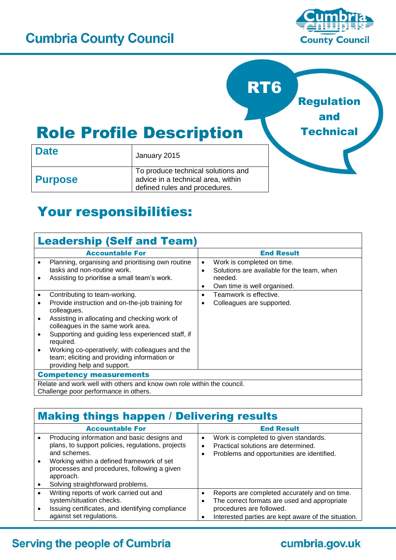

and

**Technical** 



# Role Profile Description

| <b>Date</b>    | January 2015                                                                                              |  |  |
|----------------|-----------------------------------------------------------------------------------------------------------|--|--|
| <b>Purpose</b> | To produce technical solutions and<br>advice in a technical area, within<br>defined rules and procedures. |  |  |

## Your responsibilities:

| <b>Leadership (Self and Team)</b>                                                                                                                                                                                                                                                                                                                                                                   |                                                                                                                                           |  |
|-----------------------------------------------------------------------------------------------------------------------------------------------------------------------------------------------------------------------------------------------------------------------------------------------------------------------------------------------------------------------------------------------------|-------------------------------------------------------------------------------------------------------------------------------------------|--|
| <b>Accountable For</b>                                                                                                                                                                                                                                                                                                                                                                              | <b>End Result</b>                                                                                                                         |  |
| Planning, organising and prioritising own routine<br>$\bullet$<br>tasks and non-routine work.<br>Assisting to prioritise a small team's work.<br>٠                                                                                                                                                                                                                                                  | Work is completed on time.<br>$\bullet$<br>Solutions are available for the team, when<br>٠<br>needed.<br>Own time is well organised.<br>٠ |  |
| Contributing to team-working.<br>$\bullet$                                                                                                                                                                                                                                                                                                                                                          | Teamwork is effective.<br>٠                                                                                                               |  |
| Provide instruction and on-the-job training for<br>٠<br>colleagues.<br>Assisting in allocating and checking work of<br>$\bullet$<br>colleagues in the same work area.<br>Supporting and guiding less experienced staff, if<br>$\bullet$<br>required.<br>Working co-operatively; with colleagues and the<br>$\bullet$<br>team; eliciting and providing information or<br>providing help and support. | Colleagues are supported.                                                                                                                 |  |
| <b>Competency measurements</b>                                                                                                                                                                                                                                                                                                                                                                      |                                                                                                                                           |  |
| Relate and work well with others and know own role within the council.<br>Challenge poor performance in others.                                                                                                                                                                                                                                                                                     |                                                                                                                                           |  |

### Making things happen / Delivering results

| <b>Accountable For</b>                                                                                                                                                                                                                                                      | <b>End Result</b>                                                                                                                                                                |
|-----------------------------------------------------------------------------------------------------------------------------------------------------------------------------------------------------------------------------------------------------------------------------|----------------------------------------------------------------------------------------------------------------------------------------------------------------------------------|
| Producing information and basic designs and<br>plans, to support policies, regulations, projects<br>and schemes.<br>Working within a defined framework of set<br>$\bullet$<br>processes and procedures, following a given<br>approach.<br>Solving straightforward problems. | Work is completed to given standards.<br>$\bullet$<br>Practical solutions are determined.<br>٠<br>Problems and opportunities are identified.                                     |
| Writing reports of work carried out and<br>system/situation checks.<br>Issuing certificates, and identifying compliance<br>against set regulations.                                                                                                                         | Reports are completed accurately and on time.<br>The correct formats are used and appropriate<br>procedures are followed.<br>Interested parties are kept aware of the situation. |

#### **Serving the people of Cumbria**

### cumbria.gov.uk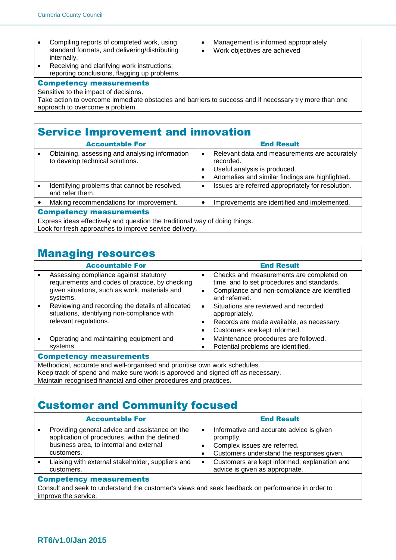- Compiling reports of completed work, using standard formats, and delivering/distributing internally.
- Receiving and clarifying work instructions; reporting conclusions, flagging up problems.

• Management is informed appropriately Work objectives are achieved

#### Competency measurements

Sensitive to the impact of decisions.

Take action to overcome immediate obstacles and barriers to success and if necessary try more than one approach to overcome a problem.

#### Service Improvement and innovation

|                                                                                                                                       | <b>Accountable For</b>                                                            |   | <b>End Result</b>                                                                                                                             |
|---------------------------------------------------------------------------------------------------------------------------------------|-----------------------------------------------------------------------------------|---|-----------------------------------------------------------------------------------------------------------------------------------------------|
|                                                                                                                                       | Obtaining, assessing and analysing information<br>to develop technical solutions. | ٠ | Relevant data and measurements are accurately<br>recorded.<br>Useful analysis is produced.<br>Anomalies and similar findings are highlighted. |
|                                                                                                                                       | Identifying problems that cannot be resolved,<br>and refer them.                  | ٠ | Issues are referred appropriately for resolution.                                                                                             |
|                                                                                                                                       | Making recommendations for improvement.                                           |   | Improvements are identified and implemented.                                                                                                  |
| <b>Competency measurements</b>                                                                                                        |                                                                                   |   |                                                                                                                                               |
| Express ideas effectively and question the traditional way of doing things.<br>Look for fresh approaches to improve service delivery. |                                                                                   |   |                                                                                                                                               |

#### Managing resources

|                                                                            | <b>Accountable For</b>                                                                                                                                                                                                                                                             |                                                       | <b>End Result</b>                                                                                                                                                                                                                                                                              |
|----------------------------------------------------------------------------|------------------------------------------------------------------------------------------------------------------------------------------------------------------------------------------------------------------------------------------------------------------------------------|-------------------------------------------------------|------------------------------------------------------------------------------------------------------------------------------------------------------------------------------------------------------------------------------------------------------------------------------------------------|
|                                                                            | Assessing compliance against statutory<br>requirements and codes of practice, by checking<br>given situations, such as work, materials and<br>systems.<br>Reviewing and recording the details of allocated<br>situations, identifying non-compliance with<br>relevant regulations. | $\bullet$<br>$\bullet$<br>$\bullet$<br>$\bullet$<br>٠ | Checks and measurements are completed on<br>time, and to set procedures and standards.<br>Compliance and non-compliance are identified<br>and referred.<br>Situations are reviewed and recorded<br>appropriately.<br>Records are made available, as necessary.<br>Customers are kept informed. |
|                                                                            | Operating and maintaining equipment and                                                                                                                                                                                                                                            | $\bullet$                                             | Maintenance procedures are followed.                                                                                                                                                                                                                                                           |
|                                                                            | systems.                                                                                                                                                                                                                                                                           |                                                       | Potential problems are identified.                                                                                                                                                                                                                                                             |
| <b>Competency measurements</b>                                             |                                                                                                                                                                                                                                                                                    |                                                       |                                                                                                                                                                                                                                                                                                |
| Methodical, accurate and well-organised and prioritise own work schedules. |                                                                                                                                                                                                                                                                                    |                                                       |                                                                                                                                                                                                                                                                                                |

Keep track of spend and make sure work is approved and signed off as necessary. Maintain recognised financial and other procedures and practices.

#### Customer and Community focused

|                                                                                                                          | <b>Accountable For</b>                                                                                                                                   |                | <b>End Result</b>                                                                                                                  |
|--------------------------------------------------------------------------------------------------------------------------|----------------------------------------------------------------------------------------------------------------------------------------------------------|----------------|------------------------------------------------------------------------------------------------------------------------------------|
|                                                                                                                          | Providing general advice and assistance on the<br>application of procedures, within the defined<br>business area, to internal and external<br>customers. | $\bullet$<br>٠ | Informative and accurate advice is given<br>promptly.<br>Complex issues are referred.<br>Customers understand the responses given. |
|                                                                                                                          | Liaising with external stakeholder, suppliers and<br>customers.                                                                                          | $\bullet$      | Customers are kept informed, explanation and<br>advice is given as appropriate.                                                    |
| <b>Competency measurements</b>                                                                                           |                                                                                                                                                          |                |                                                                                                                                    |
| Consult and seek to understand the customer's views and seek feedback on performance in order to<br>improve the service. |                                                                                                                                                          |                |                                                                                                                                    |